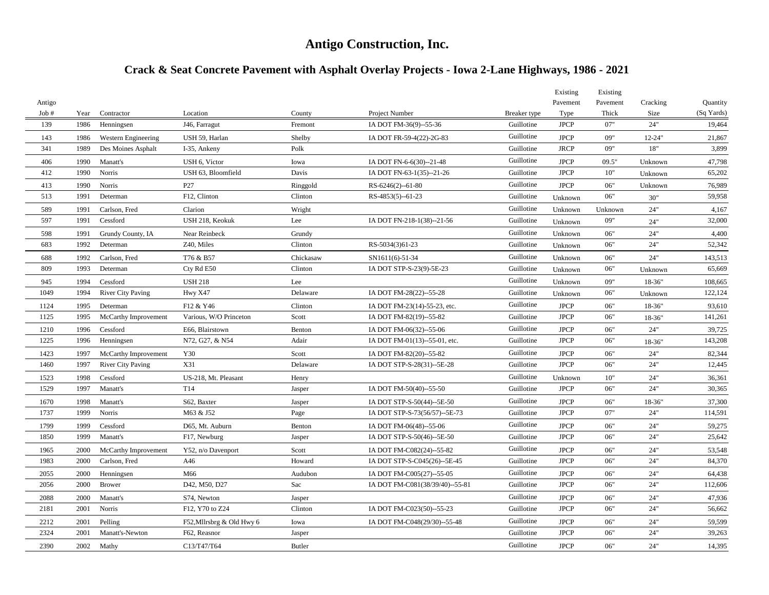# **Antigo Construction, Inc.**

# **Crack & Seat Concrete Pavement with Asphalt Overlay Projects - Iowa 2-Lane Highways, 1986 - 2021**

|        |      |                          |                           |               |                                 |              | Existing    | Existing |            |            |
|--------|------|--------------------------|---------------------------|---------------|---------------------------------|--------------|-------------|----------|------------|------------|
| Antigo |      |                          |                           |               |                                 |              | Pavement    | Pavement | Cracking   | Quantity   |
| Job#   | Year | Contractor               | Location                  | County        | Project Number                  | Breaker type | Type        | Thick    | Size       | (Sq Yards) |
| 139    | 1986 | Henningsen               | J46, Farragut             | Fremont       | IA DOT FM-36(9)--55-36          | Guillotine   | <b>JPCP</b> | 07"      | 24"        | 19,464     |
| 143    | 1986 | Western Engineering      | USH 59, Harlan            | Shelby        | IA DOT FR-59-4(22)-2G-83        | Guillotine   | <b>JPCP</b> | 09"      | $12 - 24"$ | 21,867     |
| 341    | 1989 | Des Moines Asphalt       | I-35, Ankeny              | Polk          |                                 | Guillotine   | <b>JRCP</b> | 09"      | $18"$      | 3,899      |
| 406    | 1990 | Manatt's                 | USH 6, Victor             | Iowa          | IA DOT FN-6-6(30)--21-48        | Guillotine   | <b>JPCP</b> | 09.5"    | Unknown    | 47,798     |
| 412    | 1990 | Norris                   | USH 63, Bloomfield        | Davis         | IA DOT FN-63-1(35)--21-26       | Guillotine   | <b>JPCP</b> | 10"      | Unknown    | 65,202     |
| 413    | 1990 | Norris                   | P27                       | Ringgold      | RS-6246(2)--61-80               | Guillotine   | <b>JPCP</b> | 06"      | Unknown    | 76,989     |
| 513    | 1991 | Determan                 | F12, Clinton              | Clinton       | RS-4853(5)--61-23               | Guillotine   | Unknown     | 06"      | 30"        | 59,958     |
| 589    | 1991 | Carlson, Fred            | Clarion                   | Wright        |                                 | Guillotine   | Unknown     | Unknown  | 24"        | 4,167      |
| 597    | 1991 | Cessford                 | USH 218, Keokuk           | Lee           | IA DOT FN-218-1(38)--21-56      | Guillotine   | Unknown     | 09"      | 24"        | 32,000     |
| 598    | 1991 | Grundy County, IA        | Near Reinbeck             | Grundy        |                                 | Guillotine   | Unknown     | 06"      | 24"        | 4,400      |
| 683    | 1992 | Determan                 | Z40, Miles                | Clinton       | RS-5034(3)61-23                 | Guillotine   | Unknown     | 06"      | 24"        | 52,342     |
| 688    | 1992 | Carlson, Fred            | T76 & B57                 | Chickasaw     | SN1611(6)-51-34                 | Guillotine   | Unknown     | 06"      | 24"        | 143,513    |
| 809    | 1993 | Determan                 | Cty Rd E50                | Clinton       | IA DOT STP-S-23(9)-5E-23        | Guillotine   | Unknown     | 06"      | Unknown    | 65,669     |
| 945    | 1994 | Cessford                 | <b>USH 218</b>            | Lee           |                                 | Guillotine   | Unknown     | 09"      | 18-36"     | 108,665    |
| 1049   | 1994 | <b>River City Paving</b> | Hwy X47                   | Delaware      | IA DOT FM-28(22)--55-28         | Guillotine   | Unknown     | 06"      | Unknown    | 122,124    |
| 1124   | 1995 | Determan                 | F12 & Y46                 | Clinton       | IA DOT FM-23(14)-55-23, etc.    | Guillotine   | <b>JPCP</b> | 06"      | 18-36"     | 93,610     |
| 1125   | 1995 | McCarthy Improvement     | Various, W/O Princeton    | Scott         | IA DOT FM-82(19)--55-82         | Guillotine   | <b>JPCP</b> | 06"      | 18-36"     | 141,261    |
| 1210   | 1996 | Cessford                 | E66, Blairstown           | Benton        | IA DOT FM-06(32)--55-06         | Guillotine   | <b>JPCP</b> | 06"      | 24"        | 39,725     |
| 1225   | 1996 | Henningsen               | N72, G27, & N54           | Adair         | IA DOT FM-01(13)--55-01, etc.   | Guillotine   | <b>JPCP</b> | 06"      | 18-36"     | 143,208    |
| 1423   | 1997 | McCarthy Improvement     | Y30                       | Scott         | IA DOT FM-82(20)--55-82         | Guillotine   | <b>JPCP</b> | 06"      | 24"        | 82,344     |
| 1460   | 1997 | <b>River City Paving</b> | X31                       | Delaware      | IA DOT STP-S-28(31)--5E-28      | Guillotine   | <b>JPCP</b> | 06"      | 24"        | 12,445     |
| 1523   | 1998 | Cessford                 | US-218, Mt. Pleasant      | Henry         |                                 | Guillotine   | Unknown     | 10"      | 24"        | 36,361     |
| 1529   | 1997 | Manatt's                 | T <sub>14</sub>           | Jasper        | IA DOT FM-50(40)--55-50         | Guillotine   | <b>JPCP</b> | 06"      | 24"        | 30,365     |
| 1670   | 1998 | Manatt's                 | S62, Baxter               | Jasper        | IA DOT STP-S-50(44)--5E-50      | Guillotine   | <b>JPCP</b> | 06"      | 18-36"     | 37,300     |
| 1737   | 1999 | Norris                   | M63 & J52                 | Page          | IA DOT STP-S-73(56/57)--5E-73   | Guillotine   | <b>JPCP</b> | 07"      | 24"        | 114,591    |
| 1799   | 1999 | Cessford                 | D65, Mt. Auburn           | Benton        | IA DOT FM-06(48)--55-06         | Guillotine   | <b>JPCP</b> | 06"      | 24"        | 59,275     |
| 1850   | 1999 | Manatt's                 | F17, Newburg              | Jasper        | IA DOT STP-S-50(46)--5E-50      | Guillotine   | <b>JPCP</b> | 06"      | 24"        | 25,642     |
| 1965   | 2000 | McCarthy Improvement     | Y52, n/o Davenport        | Scott         | IA DOT FM-C082(24)--55-82       | Guillotine   | <b>JPCP</b> | 06"      | 24"        | 53,548     |
| 1983   | 2000 | Carlson, Fred            | A46                       | Howard        | IA DOT STP-S-C045(26)--5E-45    | Guillotine   | <b>JPCP</b> | 06"      | 24"        | 84,370     |
| 2055   | 2000 | Henningsen               | M66                       | Audubon       | IA DOT FM-C005(27)--55-05       | Guillotine   | <b>JPCP</b> | 06"      | 24"        | 64,438     |
| 2056   | 2000 | <b>Brower</b>            | D42, M50, D27             | Sac           | IA DOT FM-C081(38/39/40)--55-81 | Guillotine   | <b>JPCP</b> | 06"      | 24"        | 112,606    |
| 2088   | 2000 | Manatt's                 | S74, Newton               | Jasper        |                                 | Guillotine   | <b>JPCP</b> | 06"      | 24"        | 47,936     |
| 2181   | 2001 | Norris                   | F12. Y70 to Z24           | Clinton       | IA DOT FM-C023(50)--55-23       | Guillotine   | <b>JPCP</b> | 06"      | 24"        | 56,662     |
| 2212   | 2001 | Pelling                  | F52, Milrsbrg & Old Hwy 6 | Iowa          | IA DOT FM-C048(29/30)--55-48    | Guillotine   | <b>JPCP</b> | 06"      | 24"        | 59,599     |
| 2324   | 2001 | Manatt's-Newton          | F62, Reasnor              | Jasper        |                                 | Guillotine   | <b>JPCP</b> | 06"      | 24"        | 39,263     |
| 2390   | 2002 | Mathy                    | C13/T47/T64               | <b>Butler</b> |                                 | Guillotine   | <b>JPCP</b> | 06"      | 24"        | 14,395     |
|        |      |                          |                           |               |                                 |              |             |          |            |            |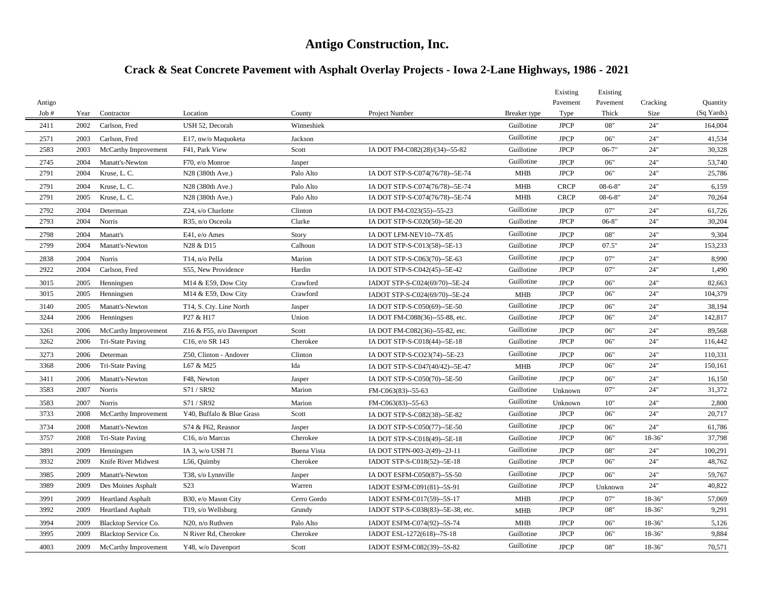# **Antigo Construction, Inc.**

# **Crack & Seat Concrete Pavement with Asphalt Overlay Projects - Iowa 2-Lane Highways, 1986 - 2021**

|                |      |                          |                                              |                    |                                   |              | Existing         | Existing          |                  |                        |
|----------------|------|--------------------------|----------------------------------------------|--------------------|-----------------------------------|--------------|------------------|-------------------|------------------|------------------------|
| Antigo<br>Job# | Year | Contractor               | Location                                     | County             | Project Number                    | Breaker type | Pavement<br>Type | Pavement<br>Thick | Cracking<br>Size | Quantity<br>(Sq Yards) |
| 2411           | 2002 | Carlson, Fred            | USH 52, Decorah                              | Winneshiek         |                                   | Guillotine   | <b>JPCP</b>      | 08"               | 24"              | 164,004                |
| 2571           | 2003 | Carlson, Fred            | E17, nw/o Maquoketa                          | Jackson            |                                   | Guillotine   | <b>JPCP</b>      | 06"               | 24"              | 41,534                 |
| 2583           | 2003 | McCarthy Improvement     | F41, Park View                               | Scott              | IA DOT FM-C082(28)/(34)--55-82    | Guillotine   | <b>JPCP</b>      | $06 - 7"$         | 24"              | 30,328                 |
| 2745           | 2004 | Manatt's-Newton          | F70, e/o Monroe                              | Jasper             |                                   | Guillotine   | <b>JPCP</b>      | 06"               | 24"              | 53,740                 |
| 2791           | 2004 | Kruse, L. C.             | N28 (380th Ave.)                             | Palo Alto          | IA DOT STP-S-C074(76/78)--5E-74   | <b>MHB</b>   | <b>JPCP</b>      | 06"               | 24"              | 25,786                 |
| 2791           | 2004 | Kruse, L. C.             | N28 (380th Ave.)                             | Palo Alto          | IA DOT STP-S-C074(76/78)--5E-74   | <b>MHB</b>   | <b>CRCP</b>      | $08 - 6 - 8$      | 24"              | 6,159                  |
| 2791           | 2005 | Kruse, L. C.             | N28 (380th Ave.)                             | Palo Alto          | IA DOT STP-S-C074(76/78)--5E-74   | <b>MHB</b>   | <b>CRCP</b>      | $08 - 6 - 8"$     | 24"              | 70,264                 |
| 2792           | 2004 | Determan                 | Z24, s/o Charlotte                           | Clinton            | IA DOT FM-C023(55)--55-23         | Guillotine   | <b>JPCP</b>      | 07"               | 24"              | 61,726                 |
| 2793           | 2004 | Norris                   | R35, n/o Osceola                             | Clarke             | IA DOT STP-S-C020(50)--5E-20      | Guillotine   | <b>JPCP</b>      | $06 - 8"$         | 24"              | 30,204                 |
| 2798           | 2004 | Manatt's                 | E41, e/o Ames                                | Story              | IA DOT LFM-NEV10--7X-85           | Guillotine   | <b>JPCP</b>      | 08"               | 24"              | 9,304                  |
| 2799           | 2004 | Manatt's-Newton          | N28 & D15                                    | Calhoun            | IA DOT STP-S-C013(58)--5E-13      | Guillotine   | <b>JPCP</b>      | 07.5"             | 24"              | 153,233                |
| 2838           | 2004 | Norris                   | T <sub>14</sub> , n/o Pella                  | Marion             | IA DOT STP-S-C063(70)--5E-63      | Guillotine   | <b>JPCP</b>      | 07"               | 24"              | 8,990                  |
| 2922           | 2004 | Carlson, Fred            | S55, New Providence                          | Hardin             | IA DOT STP-S-C042(45)--5E-42      | Guillotine   | <b>JPCP</b>      | 07"               | 24"              | 1,490                  |
| 3015           | 2005 | Henningsen               | M14 & E59, Dow City                          | Crawford           | IADOT STP-S-C024(69/70)--5E-24    | Guillotine   | <b>JPCP</b>      | 06"               | 24"              | 82,663                 |
| 3015           | 2005 | Henningsen               | M <sub>14</sub> & E <sub>59</sub> , Dow City | Crawford           | IADOT STP-S-C024(69/70)--5E-24    | MHB          | <b>JPCP</b>      | 06"               | 24"              | 104,379                |
| 3140           | 2005 | Manatt's-Newton          | T14, S. Cty. Line North                      | Jasper             | IA DOT STP-S-C050(69)--5E-50      | Guillotine   | <b>JPCP</b>      | 06"               | 24"              | 38,194                 |
| 3244           | 2006 | Henningsen               | P27 & H17                                    | Union              | IA DOT FM-C088(36)--55-88, etc.   | Guillotine   | <b>JPCP</b>      | 06"               | 24"              | 142,817                |
| 3261           | 2006 | McCarthy Improvement     | Z16 & F55, n/o Davenport                     | Scott              | IA DOT FM-C082(36)--55-82, etc.   | Guillotine   | <b>JPCP</b>      | 06"               | 24"              | 89,568                 |
| 3262           | 2006 | Tri-State Paving         | C <sub>16</sub> , e/o SR 143                 | Cherokee           | IA DOT STP-S-C018(44)--5E-18      | Guillotine   | <b>JPCP</b>      | 06"               | 24"              | 116,442                |
| 3273           | 2006 | Determan                 | Z50, Clinton - Andover                       | Clinton            | IA DOT STP-S-CO23(74)--5E-23      | Guillotine   | <b>JPCP</b>      | 06"               | 24"              | 110,331                |
| 3368           | 2006 | Tri-State Paving         | L67 & M25                                    | Ida                | IA DOT STP-S-C047(40/42)--5E-47   | MHB          | <b>JPCP</b>      | 06"               | 24"              | 150,161                |
| 3411           | 2006 | Manatt's-Newton          | F48, Newton                                  | Jasper             | IA DOT STP-S-C050(70)--5E-50      | Guillotine   | <b>JPCP</b>      | 06"               | 24"              | 16,150                 |
| 3583           | 2007 | Norris                   | S71 / SR92                                   | Marion             | FM-C063(83)--55-63                | Guillotine   | Unknown          | 07"               | 24"              | 31,372                 |
| 3583           | 2007 | Norris                   | S71/SR92                                     | Marion             | FM-C063(83)--55-63                | Guillotine   | Unknown          | 10"               | 24"              | 2,800                  |
| 3733           | 2008 | McCarthy Improvement     | Y40, Buffalo & Blue Grass                    | Scott              | IA DOT STP-S-C082(38)--5E-82      | Guillotine   | <b>JPCP</b>      | 06"               | 24"              | 20,717                 |
| 3734           | 2008 | Manatt's-Newton          | S74 & F62, Reasnor                           | Jasper             | IA DOT STP-S-C050(77)--5E-50      | Guillotine   | <b>JPCP</b>      | 06"               | 24"              | 61,786                 |
| 3757           | 2008 | Tri-State Paving         | $C16$ , n/o Marcus                           | Cherokee           | IA DOT STP-S-C018(49)--5E-18      | Guillotine   | <b>JPCP</b>      | 06"               | 18-36"           | 37,798                 |
| 3891           | 2009 | Henningsen               | IA 3, w/o USH 71                             | <b>Buena Vista</b> | IA DOT STPN-003-2(49)--2J-11      | Guillotine   | <b>JPCP</b>      | 08"               | 24"              | 100,291                |
| 3932           | 2009 | Knife River Midwest      | L56, Quimby                                  | Cherokee           | IADOT STP-S-C018(52)--5E-18       | Guillotine   | <b>JPCP</b>      | 06"               | 24"              | 48,762                 |
| 3985           | 2009 | Manatt's-Newton          | T38, s/o Lynnville                           | Jasper             | IA DOT ESFM-C050(87)--5S-50       | Guillotine   | <b>JPCP</b>      | 06"               | 24"              | 59,767                 |
| 3989           | 2009 | Des Moines Asphalt       | S <sub>2</sub> 3                             | Warren             | IADOT ESFM-C091(81)--5S-91        | Guillotine   | <b>JPCP</b>      | Unknown           | 24"              | 40,822                 |
| 3991           | 2009 | <b>Heartland Asphalt</b> | B30, e/o Mason City                          | Cerro Gordo        | IADOT ESFM-C017(59)--5S-17        | <b>MHB</b>   | <b>JPCP</b>      | 07"               | 18-36"           | 57,069                 |
| 3992           | 2009 | <b>Heartland Asphalt</b> | T <sub>19</sub> , s/o Wellsburg              | Grundy             | IADOT STP-S-C038(83)--5E-38, etc. | <b>MHB</b>   | <b>JPCP</b>      | 08"               | 18-36"           | 9,291                  |
| 3994           | 2009 | Blacktop Service Co.     | N20, n/o Ruthven                             | Palo Alto          | IADOT ESFM-C074(92)--5S-74        | MHB          | <b>JPCP</b>      | 06"               | 18-36"           | 5,126                  |
| 3995           | 2009 | Blacktop Service Co.     | N River Rd, Cherokee                         | Cherokee           | IADOT ESL-1272(618)--7S-18        | Guillotine   | <b>JPCP</b>      | 06"               | 18-36"           | 9,884                  |
| 4003           | 2009 | McCarthy Improvement     | Y48, w/o Davenport                           | Scott              | IADOT ESFM-C082(39)--5S-82        | Guillotine   | <b>JPCP</b>      | 08"               | 18-36"           | 70,571                 |